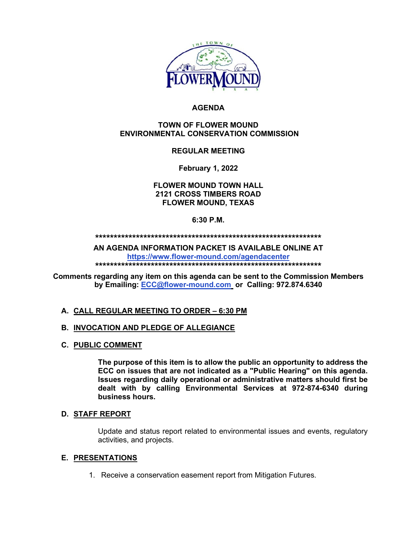

# **AGENDA**

#### **TOWN OF FLOWER MOUND ENVIRONMENTAL CONSERVATION COMMISSION**

# **REGULAR MEETING**

**February 1, 2022**

**FLOWER MOUND TOWN HALL 2121 CROSS TIMBERS ROAD FLOWER MOUND, TEXAS**

#### **6:30 P.M.**

**\*\*\*\*\*\*\*\*\*\*\*\*\*\*\*\*\*\*\*\*\*\*\*\*\*\*\*\*\*\*\*\*\*\*\*\*\*\*\*\*\*\*\*\*\*\*\*\*\*\*\*\*\*\*\*\*\*\*\*\*\***

**AN AGENDA INFORMATION PACKET IS AVAILABLE ONLINE AT <https://www.flower-mound.com/agendacenter>**

**\*\*\*\*\*\*\*\*\*\*\*\*\*\*\*\*\*\*\*\*\*\*\*\*\*\*\*\*\*\*\*\*\*\*\*\*\*\*\*\*\*\*\*\*\*\*\*\*\*\*\*\*\*\*\*\*\*\*\*\*\***

**Comments regarding any item on this agenda can be sent to the Commission Members by Emailing: [ECC@flower-mound.com](mailto:ECC@flower-mound.com) or Calling: 972.874.6340** 

# **A. CALL REGULAR MEETING TO ORDER – 6:30 PM**

# **B. INVOCATION AND PLEDGE OF ALLEGIANCE**

**C. PUBLIC COMMENT**

**The purpose of this item is to allow the public an opportunity to address the ECC on issues that are not indicated as a "Public Hearing" on this agenda. Issues regarding daily operational or administrative matters should first be dealt with by calling Environmental Services at 972-874-6340 during business hours.**

#### **D. STAFF REPORT**

Update and status report related to environmental issues and events, regulatory activities, and projects.

# **E. PRESENTATIONS**

1. Receive a conservation easement report from Mitigation Futures.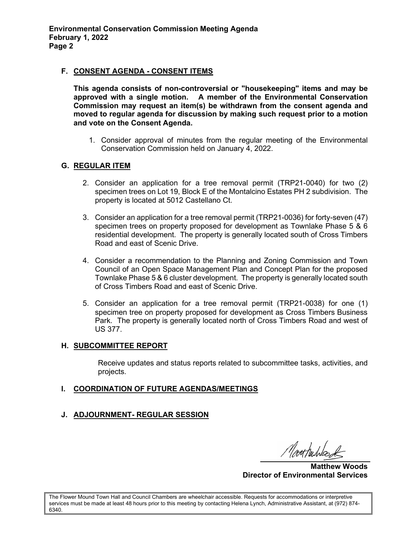### **F. CONSENT AGENDA - CONSENT ITEMS**

**This agenda consists of non-controversial or "housekeeping" items and may be approved with a single motion. A member of the Environmental Conservation Commission may request an item(s) be withdrawn from the consent agenda and moved to regular agenda for discussion by making such request prior to a motion and vote on the Consent Agenda.** 

1. Consider approval of minutes from the regular meeting of the Environmental Conservation Commission held on January 4, 2022.

#### **G. REGULAR ITEM**

- 2. Consider an application for a tree removal permit (TRP21-0040) for two (2) specimen trees on Lot 19, Block E of the Montalcino Estates PH 2 subdivision. The property is located at 5012 Castellano Ct.
- 3. Consider an application for a tree removal permit (TRP21-0036) for forty-seven (47) specimen trees on property proposed for development as Townlake Phase 5 & 6 residential development. The property is generally located south of Cross Timbers Road and east of Scenic Drive.
- 4. Consider a recommendation to the Planning and Zoning Commission and Town Council of an Open Space Management Plan and Concept Plan for the proposed Townlake Phase 5 & 6 cluster development. The property is generally located south of Cross Timbers Road and east of Scenic Drive.
- 5. Consider an application for a tree removal permit (TRP21-0038) for one (1) specimen tree on property proposed for development as Cross Timbers Business Park. The property is generally located north of Cross Timbers Road and west of US 377.

#### **H. SUBCOMMITTEE REPORT**

Receive updates and status reports related to subcommittee tasks, activities, and projects.

# **I. COORDINATION OF FUTURE AGENDAS/MEETINGS**

# **J. ADJOURNMENT- REGULAR SESSION**

Monthurbes

**Matthew Woods Director of Environmental Services**

The Flower Mound Town Hall and Council Chambers are wheelchair accessible. Requests for accommodations or interpretive services must be made at least 48 hours prior to this meeting by contacting Helena Lynch, Administrative Assistant, at (972) 874- 6340.